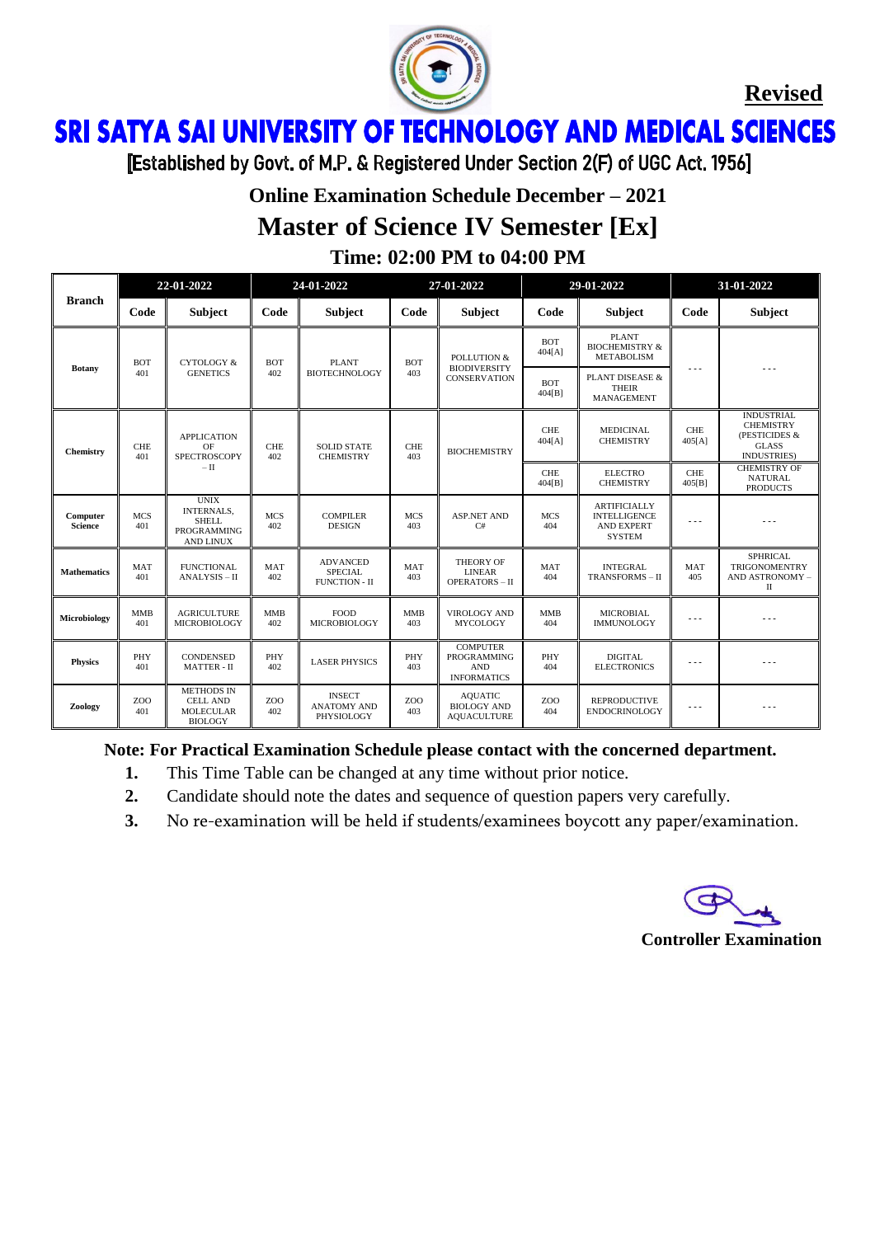

**Revised**

ì Ï

[Established by Govt. of M.P. & Registered Under Section 2(F) of UGC Act. 1956]

## **Online Examination Schedule December – 2021 Master of Science IV Semester [Ex]**

**Time: 02:00 PM to 04:00 PM**

|                            | 22-01-2022        |                                                                                            | 24-01-2022        |                                                           | 27-01-2022              |                                                                           |                         | 29-01-2022                                                                       | 31-01-2022           |                                                                                               |
|----------------------------|-------------------|--------------------------------------------------------------------------------------------|-------------------|-----------------------------------------------------------|-------------------------|---------------------------------------------------------------------------|-------------------------|----------------------------------------------------------------------------------|----------------------|-----------------------------------------------------------------------------------------------|
| <b>Branch</b>              | Code              | <b>Subject</b>                                                                             | Code              | Subject                                                   | Code                    | <b>Subject</b>                                                            | Code                    | <b>Subject</b>                                                                   | Code                 | <b>Subject</b>                                                                                |
| <b>Botany</b>              | <b>BOT</b><br>401 | <b>CYTOLOGY &amp;</b><br><b>GENETICS</b>                                                   | <b>BOT</b><br>402 | <b>PLANT</b><br><b>BIOTECHNOLOGY</b>                      | <b>BOT</b><br>403       | POLLUTION &<br><b>BIODIVERSITY</b><br><b>CONSERVATION</b>                 | <b>BOT</b><br>404[A]    | <b>PLANT</b><br><b>BIOCHEMISTRY &amp;</b><br><b>METABOLISM</b>                   |                      |                                                                                               |
|                            |                   |                                                                                            |                   |                                                           |                         |                                                                           | <b>BOT</b><br>404[B]    | PLANT DISEASE &<br><b>THEIR</b><br><b>MANAGEMENT</b>                             |                      |                                                                                               |
| Chemistry                  | <b>CHE</b><br>401 | <b>APPLICATION</b><br>OF<br><b>SPECTROSCOPY</b><br>$-\text{II}$                            | <b>CHE</b><br>402 | <b>SOLID STATE</b><br><b>CHEMISTRY</b>                    | <b>CHE</b><br>403       | <b>BIOCHEMISTRY</b>                                                       | <b>CHE</b><br>404[A]    | <b>MEDICINAL</b><br><b>CHEMISTRY</b>                                             | <b>CHE</b><br>405[A] | <b>INDUSTRIAL</b><br><b>CHEMISTRY</b><br>(PESTICIDES &<br><b>GLASS</b><br><b>INDUSTRIES</b> ) |
|                            |                   |                                                                                            |                   |                                                           |                         |                                                                           | <b>CHE</b><br>404[B]    | <b>ELECTRO</b><br><b>CHEMISTRY</b>                                               | <b>CHE</b><br>405[B] | <b>CHEMISTRY OF</b><br><b>NATURAL</b><br><b>PRODUCTS</b>                                      |
| Computer<br><b>Science</b> | <b>MCS</b><br>401 | <b>UNIX</b><br><b>INTERNALS,</b><br><b>SHELL</b><br><b>PROGRAMMING</b><br><b>AND LINUX</b> | <b>MCS</b><br>402 | <b>COMPILER</b><br><b>DESIGN</b>                          | <b>MCS</b><br>403       | <b>ASP.NET AND</b><br>C#                                                  | <b>MCS</b><br>404       | <b>ARTIFICIALLY</b><br><b>INTELLIGENCE</b><br><b>AND EXPERT</b><br><b>SYSTEM</b> | $\ddotsc$            |                                                                                               |
| <b>Mathematics</b>         | <b>MAT</b><br>401 | <b>FUNCTIONAL</b><br>ANALYSIS - II                                                         | <b>MAT</b><br>402 | <b>ADVANCED</b><br><b>SPECIAL</b><br><b>FUNCTION - II</b> | MAT<br>403              | THEORY OF<br><b>LINEAR</b><br><b>OPERATORS-II</b>                         | MAT<br>404              | <b>INTEGRAL</b><br>TRANSFORMS - II                                               | <b>MAT</b><br>405    | <b>SPHRICAL</b><br><b>TRIGONOMENTRY</b><br>AND ASTRONOMY -<br>$_{\rm II}$                     |
| Microbiology               | <b>MMB</b><br>401 | <b>AGRICULTURE</b><br><b>MICROBIOLOGY</b>                                                  | <b>MMB</b><br>402 | <b>FOOD</b><br><b>MICROBIOLOGY</b>                        | <b>MMB</b><br>403       | <b>VIROLOGY AND</b><br><b>MYCOLOGY</b>                                    | <b>MMB</b><br>404       | <b>MICROBIAL</b><br><b>IMMUNOLOGY</b>                                            | .                    |                                                                                               |
| <b>Physics</b>             | PHY<br>401        | <b>CONDENSED</b><br><b>MATTER - II</b>                                                     | PHY<br>402        | <b>LASER PHYSICS</b>                                      | PHY<br>403              | <b>COMPUTER</b><br><b>PROGRAMMING</b><br><b>AND</b><br><b>INFORMATICS</b> | PHY<br>404              | <b>DIGITAL</b><br><b>ELECTRONICS</b>                                             | $- - -$              |                                                                                               |
| Zoology                    | ZOO<br>401        | <b>METHODS IN</b><br><b>CELL AND</b><br><b>MOLECULAR</b><br><b>BIOLOGY</b>                 | ZOO<br>402        | <b>INSECT</b><br><b>ANATOMY AND</b><br>PHYSIOLOGY         | Z <sub>O</sub> O<br>403 | <b>AQUATIC</b><br><b>BIOLOGY AND</b><br><b>AQUACULTURE</b>                | Z <sub>O</sub> O<br>404 | <b>REPRODUCTIVE</b><br><b>ENDOCRINOLOGY</b>                                      | $\cdots$             |                                                                                               |

**Note: For Practical Examination Schedule please contact with the concerned department.**

- **1.** This Time Table can be changed at any time without prior notice.
- **2.** Candidate should note the dates and sequence of question papers very carefully.
- **3.** No re-examination will be held if students/examinees boycott any paper/examination.

#### **Controller Examination**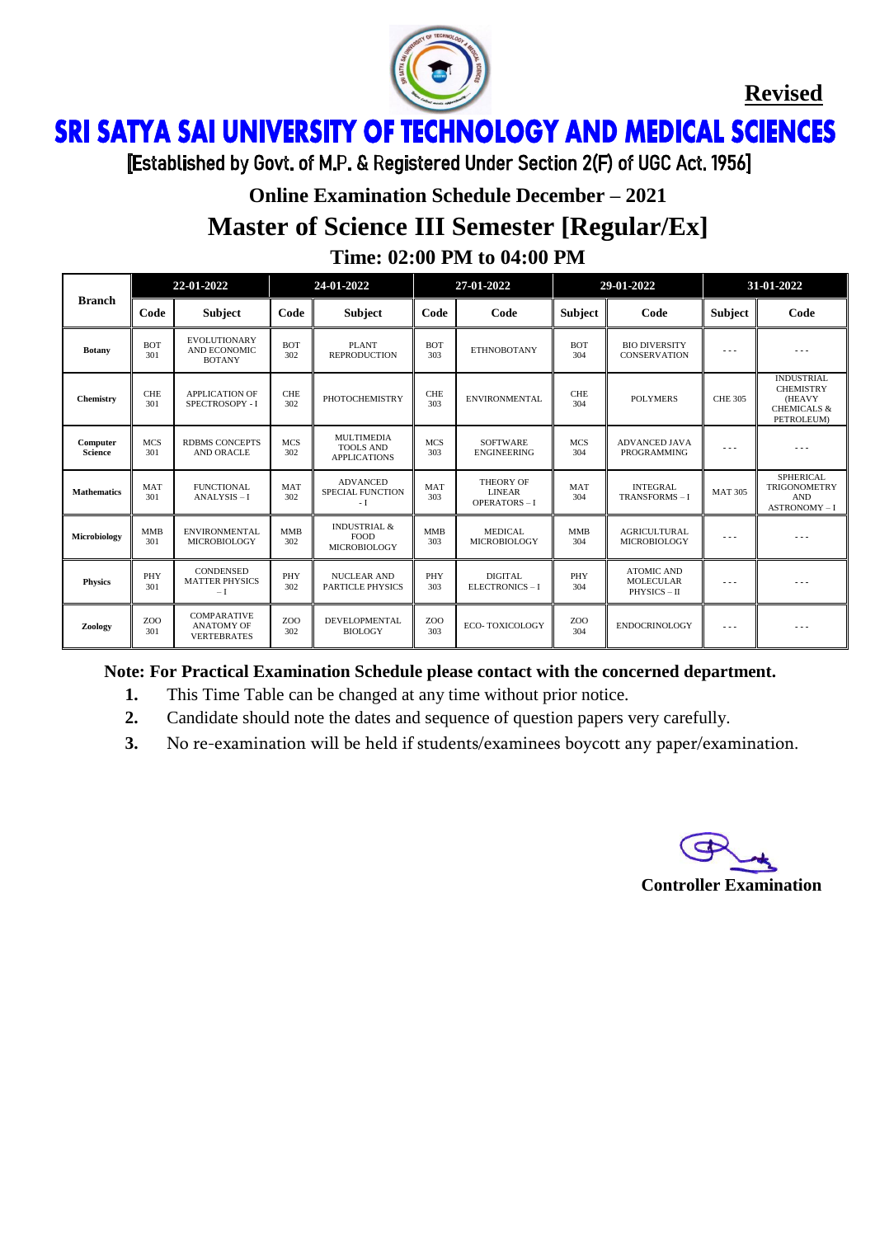

**Revised**

ì Ï

[Established by Govt. of M.P. & Registered Under Section 2(F) of UGC Act. 1956]

## **Online Examination Schedule December – 2021 Master of Science III Semester [Regular/Ex] Time: 02:00 PM to 04:00 PM**

| <b>Branch</b>              | 22-01-2022        |                                                               | 24-01-2022        |                                                               | 27-01-2022        |                                                         | 29-01-2022             |                                                     | 31-01-2022     |                                                                                                      |
|----------------------------|-------------------|---------------------------------------------------------------|-------------------|---------------------------------------------------------------|-------------------|---------------------------------------------------------|------------------------|-----------------------------------------------------|----------------|------------------------------------------------------------------------------------------------------|
|                            | Code              | <b>Subject</b>                                                | Code              | <b>Subject</b>                                                | Code              | Code                                                    | <b>Subject</b>         | Code                                                | <b>Subject</b> | Code                                                                                                 |
| <b>Botany</b>              | <b>BOT</b><br>301 | <b>EVOLUTIONARY</b><br>AND ECONOMIC<br><b>BOTANY</b>          | <b>BOT</b><br>302 | <b>PLANT</b><br><b>REPRODUCTION</b>                           | <b>BOT</b><br>303 | <b>ETHNOBOTANY</b>                                      | <b>BOT</b><br>304      | <b>BIO DIVERSITY</b><br><b>CONSERVATION</b>         | .              | .                                                                                                    |
| Chemistry                  | <b>CHE</b><br>301 | <b>APPLICATION OF</b><br>SPECTROSOPY - I                      | <b>CHE</b><br>302 | <b>PHOTOCHEMISTRY</b>                                         | <b>CHE</b><br>303 | <b>ENVIRONMENTAL</b>                                    | <b>CHE</b><br>304      | <b>POLYMERS</b>                                     | <b>CHE 305</b> | <b>INDUSTRIAL</b><br><b>CHEMISTRY</b><br><b>(HEAVY</b><br><b>CHEMICALS &amp;</b><br><b>PETROLEUM</b> |
| Computer<br><b>Science</b> | <b>MCS</b><br>301 | <b>RDBMS CONCEPTS</b><br><b>AND ORACLE</b>                    | <b>MCS</b><br>302 | <b>MULTIMEDIA</b><br><b>TOOLS AND</b><br><b>APPLICATIONS</b>  | <b>MCS</b><br>303 | <b>SOFTWARE</b><br><b>ENGINEERING</b>                   | <b>MCS</b><br>304      | <b>ADVANCED JAVA</b><br>PROGRAMMING                 | $\cdots$       | .                                                                                                    |
| <b>Mathematics</b>         | <b>MAT</b><br>301 | <b>FUNCTIONAL</b><br>ANALYSIS-I                               | MAT<br>302        | <b>ADVANCED</b><br><b>SPECIAL FUNCTION</b><br>- I             | <b>MAT</b><br>303 | <b>THEORY OF</b><br><b>LINEAR</b><br><b>OPERATORS-I</b> | <b>MAT</b><br>304      | <b>INTEGRAL</b><br>TRANSFORMS-I                     | <b>MAT 305</b> | <b>SPHERICAL</b><br><b>TRIGONOMETRY</b><br><b>AND</b><br>ASTRONOMY-I                                 |
| Microbiology               | <b>MMB</b><br>301 | <b>ENVIRONMENTAL</b><br><b>MICROBIOLOGY</b>                   | <b>MMB</b><br>302 | <b>INDUSTRIAL &amp;</b><br><b>FOOD</b><br><b>MICROBIOLOGY</b> | <b>MMB</b><br>303 | <b>MEDICAL</b><br><b>MICROBIOLOGY</b>                   | <b>MMB</b><br>304      | <b>AGRICULTURAL</b><br><b>MICROBIOLOGY</b>          | .              | .                                                                                                    |
| <b>Physics</b>             | PHY<br>301        | <b>CONDENSED</b><br><b>MATTER PHYSICS</b><br>$-I$             | PHY<br>302        | <b>NUCLEAR AND</b><br><b>PARTICLE PHYSICS</b>                 | PHY<br>303        | <b>DIGITAL</b><br>ELECTRONICS-I                         | PHY<br>304             | <b>ATOMIC AND</b><br><b>MOLECULAR</b><br>PHYSICS-II | .              | ---                                                                                                  |
| Zoology                    | ZOO<br>301        | <b>COMPARATIVE</b><br><b>ANATOMY OF</b><br><b>VERTEBRATES</b> | ZOO<br>302        | <b>DEVELOPMENTAL</b><br><b>BIOLOGY</b>                        | ZOO<br>303        | <b>ECO-TOXICOLOGY</b>                                   | ZO <sub>O</sub><br>304 | <b>ENDOCRINOLOGY</b>                                | .              |                                                                                                      |

#### **Note: For Practical Examination Schedule please contact with the concerned department.**

- **1.** This Time Table can be changed at any time without prior notice.
- **2.** Candidate should note the dates and sequence of question papers very carefully.
- **3.** No re-examination will be held if students/examinees boycott any paper/examination.

**Controller Examination**